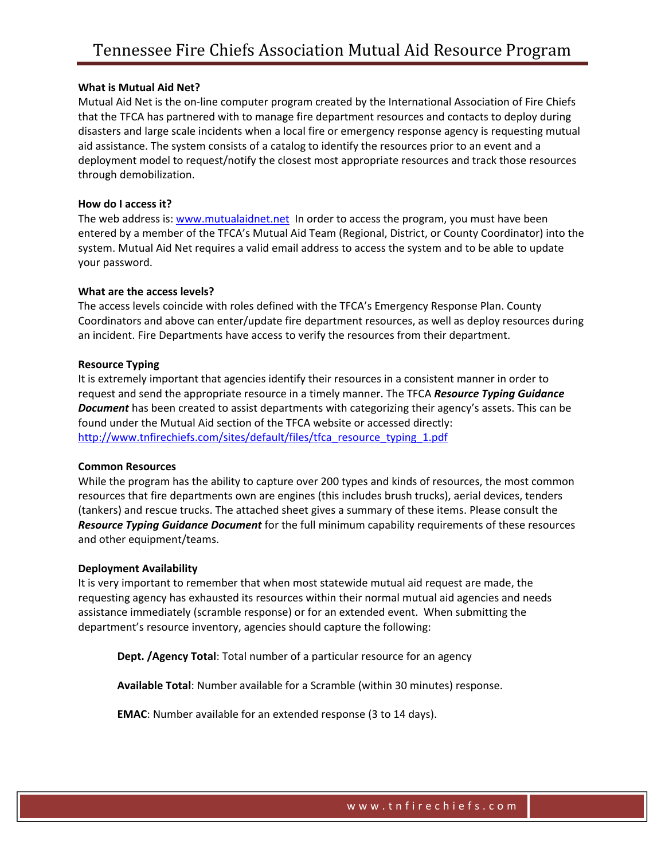### **What is Mutual Aid Net?**

Mutual Aid Net is the on‐line computer program created by the International Association of Fire Chiefs that the TFCA has partnered with to manage fire department resources and contacts to deploy during disasters and large scale incidents when a local fire or emergency response agency is requesting mutual aid assistance. The system consists of a catalog to identify the resources prior to an event and a deployment model to request/notify the closest most appropriate resources and track those resources through demobilization.

### **How do I access it?**

The web address is: www.mutualaidnet.net In order to access the program, you must have been entered by a member of the TFCA's Mutual Aid Team (Regional, District, or County Coordinator) into the system. Mutual Aid Net requires a valid email address to access the system and to be able to update your password.

### **What are the access levels?**

The access levels coincide with roles defined with the TFCA's Emergency Response Plan. County Coordinators and above can enter/update fire department resources, as well as deploy resources during an incident. Fire Departments have access to verify the resources from their department.

### **Resource Typing**

It is extremely important that agencies identify their resources in a consistent manner in order to request and send the appropriate resource in a timely manner. The TFCA *Resource Typing Guidance Document* has been created to assist departments with categorizing their agency's assets. This can be found under the Mutual Aid section of the TFCA website or accessed directly: http://www.tnfirechiefs.com/sites/default/files/tfca\_resource\_typing\_1.pdf

### **Common Resources**

While the program has the ability to capture over 200 types and kinds of resources, the most common resources that fire departments own are engines (this includes brush trucks), aerial devices, tenders (tankers) and rescue trucks. The attached sheet gives a summary of these items. Please consult the *Resource Typing Guidance Document* for the full minimum capability requirements of these resources and other equipment/teams.

### **Deployment Availability**

It is very important to remember that when most statewide mutual aid request are made, the requesting agency has exhausted its resources within their normal mutual aid agencies and needs assistance immediately (scramble response) or for an extended event. When submitting the department's resource inventory, agencies should capture the following:

**Dept. /Agency Total**: Total number of a particular resource for an agency

**Available Total**: Number available for a Scramble (within 30 minutes) response.

**EMAC**: Number available for an extended response (3 to 14 days).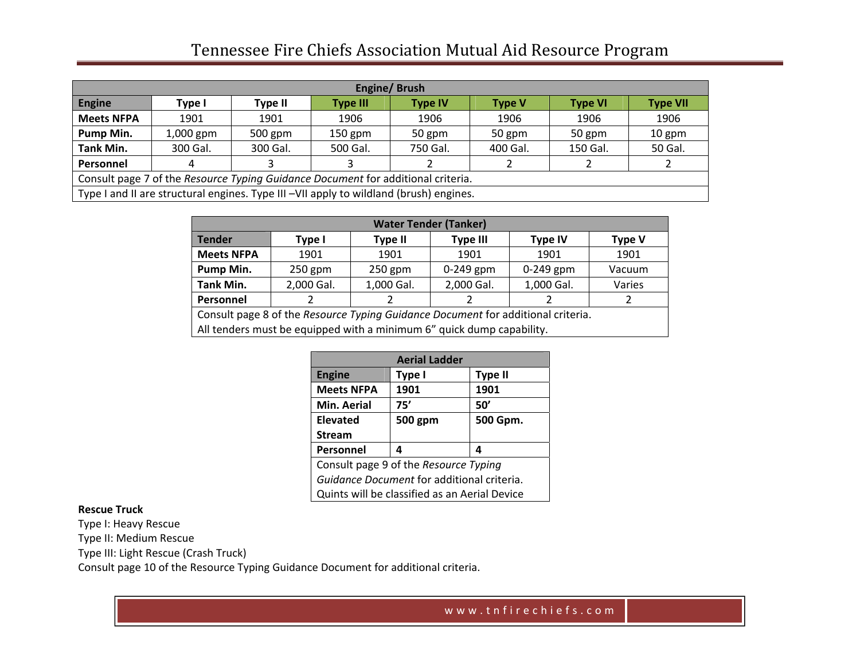# Tennessee Fire Chiefs Association Mutual Aid Resource Program

| Engine/Brush                                                                           |             |           |                 |                |               |                |                 |
|----------------------------------------------------------------------------------------|-------------|-----------|-----------------|----------------|---------------|----------------|-----------------|
| <b>Engine</b>                                                                          | Type I      | Type II   | <b>Type III</b> | <b>Type IV</b> | <b>Type V</b> | <b>Type VI</b> | <b>Type VII</b> |
| <b>Meets NFPA</b>                                                                      | 1901        | 1901      | 1906            | 1906           | 1906          | 1906           | 1906            |
| Pump Min.                                                                              | $1,000$ gpm | $500$ gpm | $150$ gpm       | 50 gpm         | 50 gpm        | 50 gpm         | 10 gpm          |
| <b>Tank Min.</b>                                                                       | 300 Gal.    | 300 Gal.  | 500 Gal.        | 750 Gal.       | 400 Gal.      | 150 Gal.       | 50 Gal.         |
| Personnel                                                                              |             |           |                 |                |               |                |                 |
| Consult page 7 of the Resource Typing Guidance Document for additional criteria.       |             |           |                 |                |               |                |                 |
| Type I and II are structural engines. Type III -VII apply to wildland (brush) engines. |             |           |                 |                |               |                |                 |

| <b>Water Tender (Tanker)</b>                                                     |            |                |                 |                |               |  |
|----------------------------------------------------------------------------------|------------|----------------|-----------------|----------------|---------------|--|
| <b>Tender</b>                                                                    | Type I     | <b>Type II</b> | <b>Type III</b> | <b>Type IV</b> | <b>Type V</b> |  |
| <b>Meets NFPA</b>                                                                | 1901       | 1901           | 1901            | 1901           | 1901          |  |
| Pump Min.                                                                        | $250$ gpm  | $250$ gpm      | $0-249$ gpm     | $0-249$ gpm    | Vacuum        |  |
| <b>Tank Min.</b>                                                                 | 2,000 Gal. | 1,000 Gal.     | 2,000 Gal.      | 1,000 Gal.     | Varies        |  |
| Personnel                                                                        |            |                |                 |                |               |  |
| Consult page 8 of the Resource Typing Guidance Document for additional criteria. |            |                |                 |                |               |  |
| All tenders must be equipped with a minimum 6" quick dump capability.            |            |                |                 |                |               |  |

| <b>Aerial Ladder</b>                          |         |                |  |  |  |
|-----------------------------------------------|---------|----------------|--|--|--|
| <b>Engine</b>                                 | Type I  | <b>Type II</b> |  |  |  |
| <b>Meets NFPA</b>                             | 1901    | 1901           |  |  |  |
| Min. Aerial                                   | 75'     | 50'            |  |  |  |
| <b>Elevated</b>                               | 500 gpm | 500 Gpm.       |  |  |  |
| <b>Stream</b>                                 |         |                |  |  |  |
| Personnel                                     | 4       | Δ              |  |  |  |
| Consult page 9 of the Resource Typing         |         |                |  |  |  |
| Guidance Document for additional criteria.    |         |                |  |  |  |
| Quints will be classified as an Aerial Device |         |                |  |  |  |

#### **Rescue Truck**

Type I: Heavy Rescue

Type II: Medium Rescue

Type III: Light Rescue (Crash Truck)

Consult page 10 of the Resource Typing Guidance Document for additional criteria.